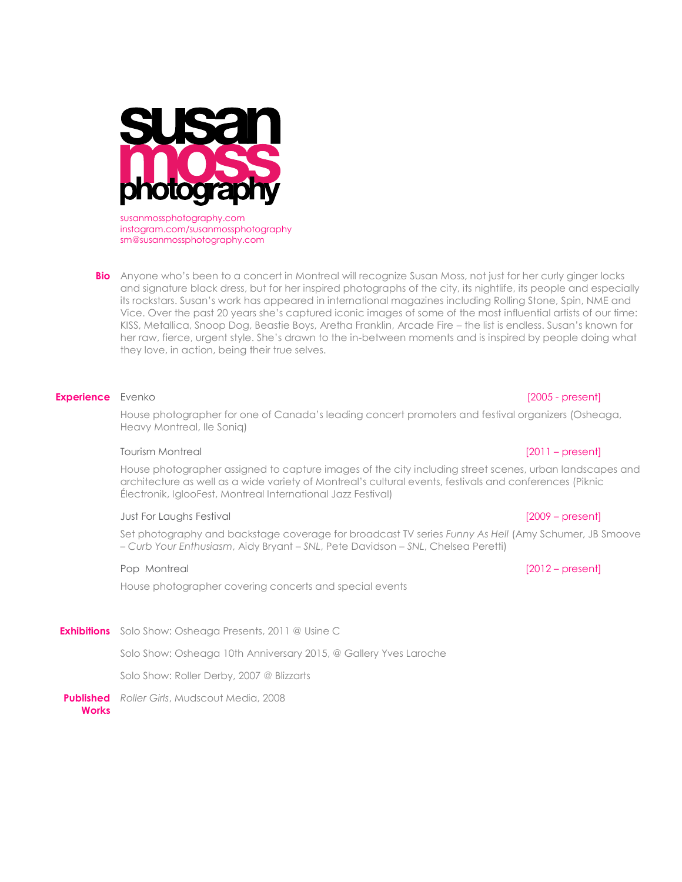

susanmossphotography.com instagram.com/susanmossphotography sm@susanmossphotography.com

**Bio** Anyone who's been to a concert in Montreal will recognize Susan Moss, not just for her curly ginger locks and signature black dress, but for her inspired photographs of the city, its nightlife, its people and especially its rockstars. Susan's work has appeared in international magazines including Rolling Stone, Spin, NME and Vice. Over the past 20 years she's captured iconic images of some of the most influential artists of our time: KISS, Metallica, Snoop Dog, Beastie Boys, Aretha Franklin, Arcade Fire – the list is endless. Susan's known for her raw, fierce, urgent style. She's drawn to the in-between moments and is inspired by people doing what they love, in action, being their true selves.

### **Experience** Evenko **intervention and the experience** [2005 - present]

House photographer for one of Canada's leading concert promoters and festival organizers (Osheaga, Heavy Montreal, Ile Soniq)

### Tourism Montreal [2011 – present]

House photographer assigned to capture images of the city including street scenes, urban landscapes and architecture as well as a wide variety of Montreal's cultural events, festivals and conferences (Piknic Électronik, IglooFest, Montreal International Jazz Festival)

### Just For Laughs Festival [2009 – present]

Set photography and backstage coverage for broadcast TV series *Funny As Hell* (Amy Schumer, JB Smoove – *Curb Your Enthusiasm*, Aidy Bryant – *SNL*, Pete Davidson – *SNL*, Chelsea Peretti)

# Pop Montreal [2012 – present]

House photographer covering concerts and special events

**Exhibitions** Solo Show: Osheaga Presents, 2011 @ Usine C

Solo Show: Osheaga 10th Anniversary 2015, @ Gallery Yves Laroche

Solo Show: Roller Derby, 2007 @ Blizzarts

**Published**  *Roller Girls*, Mudscout Media, 2008**Works**